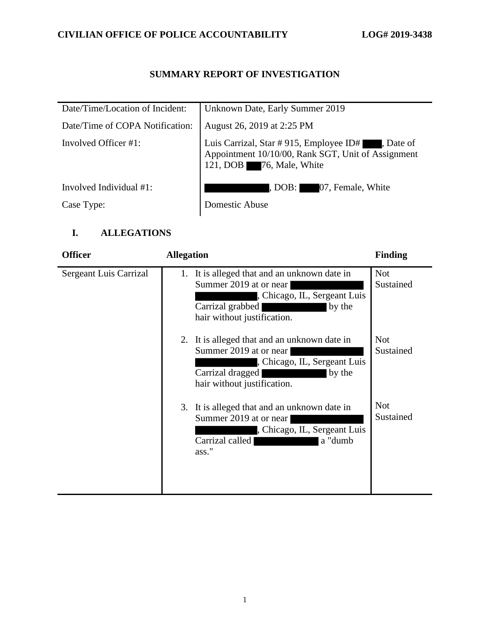# **CIVILIAN OFFICE OF POLICE ACCOUNTABILITY LOG# 2019-3438**

## **SUMMARY REPORT OF INVESTIGATION**

| Date/Time/Location of Incident: | Unknown Date, Early Summer 2019                                                                                                     |
|---------------------------------|-------------------------------------------------------------------------------------------------------------------------------------|
| Date/Time of COPA Notification: | August 26, 2019 at 2:25 PM                                                                                                          |
| Involved Officer #1:            | Luis Carrizal, Star # 915, Employee ID# , Date of<br>Appointment 10/10/00, Rank SGT, Unit of Assignment<br>121, DOB 76, Male, White |
| Involved Individual $#1$ :      | DOB: 07, Female, White                                                                                                              |
| Case Type:                      | Domestic Abuse                                                                                                                      |

## **I. ALLEGATIONS**

| <b>Officer</b>         | <b>Allegation</b>                                                                                                                                                   | <b>Finding</b>          |
|------------------------|---------------------------------------------------------------------------------------------------------------------------------------------------------------------|-------------------------|
| Sergeant Luis Carrizal | 1. It is alleged that and an unknown date in<br>Summer 2019 at or near<br>, Chicago, IL, Sergeant Luis<br>Carrizal grabbed<br>by the<br>hair without justification. | <b>Not</b><br>Sustained |
|                        | 2. It is alleged that and an unknown date in<br>Summer 2019 at or near<br>, Chicago, IL, Sergeant Luis<br>Carrizal dragged<br>by the<br>hair without justification. | <b>Not</b><br>Sustained |
|                        | 3. It is alleged that and an unknown date in<br>Summer 2019 at or near<br>, Chicago, IL, Sergeant Luis<br>Carrizal called<br>a "dumb<br>ass."                       | <b>Not</b><br>Sustained |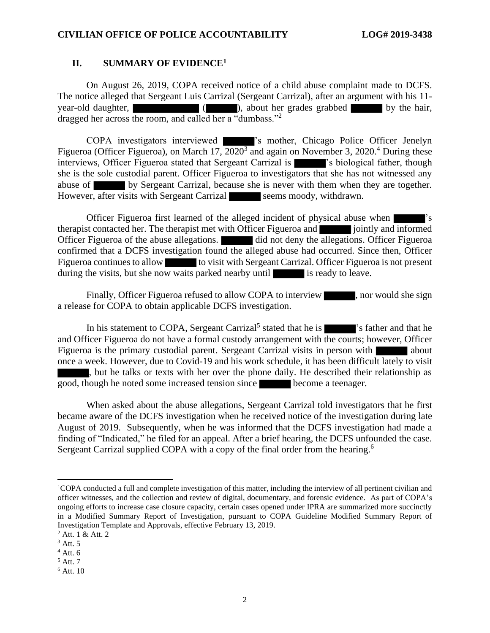#### **II. SUMMARY OF EVIDENCE<sup>1</sup>**

On August 26, 2019, COPA received notice of a child abuse complaint made to DCFS. The notice alleged that Sergeant Luis Carrizal (Sergeant Carrizal), after an argument with his 11 year-old daughter,  $($  ), about her grades grabbed by the hair, dragged her across the room, and called her a "dumbass."<sup>2</sup>

COPA investigators interviewed 's mother, Chicago Police Officer Jenelyn Figueroa (Officer Figueroa), on March 17,  $\overline{2020^3}$  and again on November 3, 2020.<sup>4</sup> During these interviews, Officer Figueroa stated that Sergeant Carrizal is **interviews** is biological father, though she is the sole custodial parent. Officer Figueroa to investigators that she has not witnessed any abuse of by Sergeant Carrizal, because she is never with them when they are together. However, after visits with Sergeant Carrizal seems moody, withdrawn.

Officer Figueroa first learned of the alleged incident of physical abuse when 's therapist contacted her. The therapist met with Officer Figueroa and informed jointly and informed Officer Figueroa of the abuse allegations. **did** not deny the allegations. Officer Figueroa confirmed that a DCFS investigation found the alleged abuse had occurred. Since then, Officer Figueroa continues to allow to visit with Sergeant Carrizal. Officer Figueroa is not present during the visits, but she now waits parked nearby until is ready to leave.

Finally, Officer Figueroa refused to allow COPA to interview , nor would she sign a release for COPA to obtain applicable DCFS investigation.

In his statement to COPA, Sergeant Carrizal<sup>5</sup> stated that he is statement of that he and Officer Figueroa do not have a formal custody arrangement with the courts; however, Officer Figueroa is the primary custodial parent. Sergeant Carrizal visits in person with about once a week. However, due to Covid-19 and his work schedule, it has been difficult lately to visit , but he talks or texts with her over the phone daily. He described their relationship as good, though he noted some increased tension since become a teenager.

When asked about the abuse allegations, Sergeant Carrizal told investigators that he first became aware of the DCFS investigation when he received notice of the investigation during late August of 2019. Subsequently, when he was informed that the DCFS investigation had made a finding of "Indicated," he filed for an appeal. After a brief hearing, the DCFS unfounded the case. Sergeant Carrizal supplied COPA with a copy of the final order from the hearing.<sup>6</sup>

<sup>&</sup>lt;sup>1</sup>COPA conducted a full and complete investigation of this matter, including the interview of all pertinent civilian and officer witnesses, and the collection and review of digital, documentary, and forensic evidence. As part of COPA's ongoing efforts to increase case closure capacity, certain cases opened under IPRA are summarized more succinctly in a Modified Summary Report of Investigation, pursuant to COPA Guideline Modified Summary Report of Investigation Template and Approvals, effective February 13, 2019.

 $2$  Att. 1 & Att. 2

 $3$  Att. 5

 $4$  Att. 6

<sup>5</sup> Att. 7

<sup>6</sup> Att. 10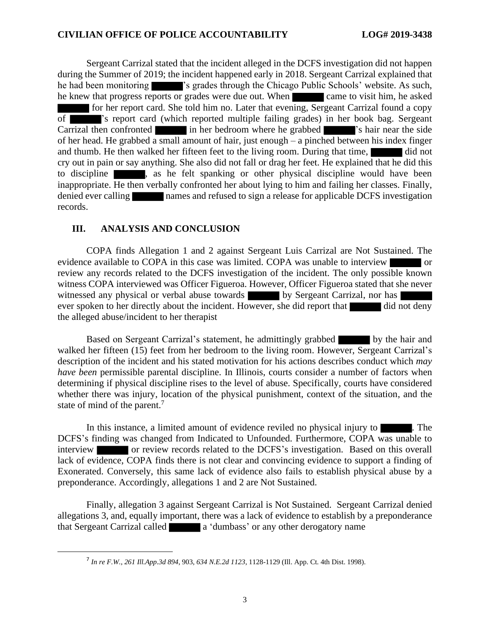Sergeant Carrizal stated that the incident alleged in the DCFS investigation did not happen during the Summer of 2019; the incident happened early in 2018. Sergeant Carrizal explained that he had been monitoring 's grades through the Chicago Public Schools' website. As such, he knew that progress reports or grades were due out. When came to visit him, he asked for her report card. She told him no. Later that evening, Sergeant Carrizal found a copy of 's report card (which reported multiple failing grades) in her book bag. Sergeant Carrizal then confronted in her bedroom where he grabbed 's hair near the side of her head. He grabbed a small amount of hair, just enough – a pinched between his index finger and thumb. He then walked her fifteen feet to the living room. During that time, cry out in pain or say anything. She also did not fall or drag her feet. He explained that he did this to discipline **a**, as he felt spanking or other physical discipline would have been inappropriate. He then verbally confronted her about lying to him and failing her classes. Finally, denied ever calling names and refused to sign a release for applicable DCFS investigation records.

#### **III. ANALYSIS AND CONCLUSION**

COPA finds Allegation 1 and 2 against Sergeant Luis Carrizal are Not Sustained. The evidence available to COPA in this case was limited. COPA was unable to interview or review any records related to the DCFS investigation of the incident. The only possible known witness COPA interviewed was Officer Figueroa. However, Officer Figueroa stated that she never witnessed any physical or verbal abuse towards by Sergeant Carrizal, nor has ever spoken to her directly about the incident. However, she did report that did not deny the alleged abuse/incident to her therapist

Based on Sergeant Carrizal's statement, he admittingly grabbed by the hair and walked her fifteen (15) feet from her bedroom to the living room. However, Sergeant Carrizal's description of the incident and his stated motivation for his actions describes conduct which *may have been* permissible parental discipline. In Illinois, courts consider a number of factors when determining if physical discipline rises to the level of abuse. Specifically, courts have considered whether there was injury, location of the physical punishment, context of the situation, and the state of mind of the parent.<sup>7</sup>

In this instance, a limited amount of evidence reviled no physical injury to **The**. The DCFS's finding was changed from Indicated to Unfounded. Furthermore, COPA was unable to interview or review records related to the DCFS's investigation. Based on this overall lack of evidence, COPA finds there is not clear and convincing evidence to support a finding of Exonerated. Conversely, this same lack of evidence also fails to establish physical abuse by a preponderance. Accordingly, allegations 1 and 2 are Not Sustained.

Finally, allegation 3 against Sergeant Carrizal is Not Sustained. Sergeant Carrizal denied allegations 3, and, equally important, there was a lack of evidence to establish by a preponderance that Sergeant Carrizal called **a** 'dumbass' or any other derogatory name

<sup>7</sup> *In re F.W.*, *261 Ill.App.3d 894*, 903, *634 N.E.2d 1123*, 1128-1129 (Ill. App. Ct. 4th Dist. 1998).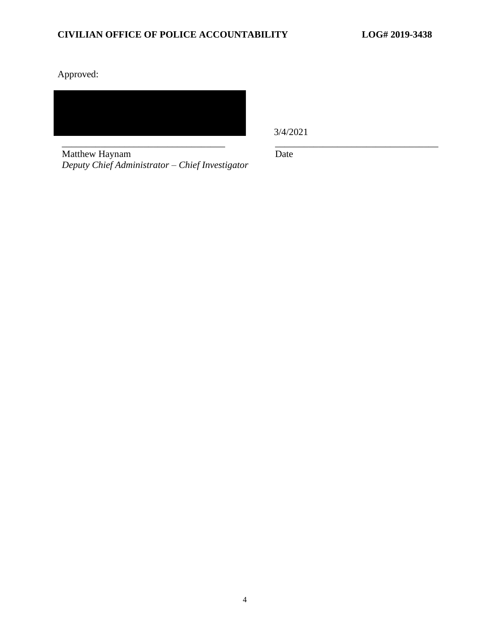Approved:

\_\_\_\_\_\_\_\_\_\_\_\_\_\_\_\_\_\_\_\_\_\_\_\_\_\_\_\_\_\_\_\_\_\_ \_\_\_\_\_\_\_\_\_\_\_\_\_\_\_\_\_\_\_\_\_\_\_\_\_\_\_\_\_\_\_\_\_\_

3/4/2021

Matthew Haynam *Deputy Chief Administrator – Chief Investigator* Date